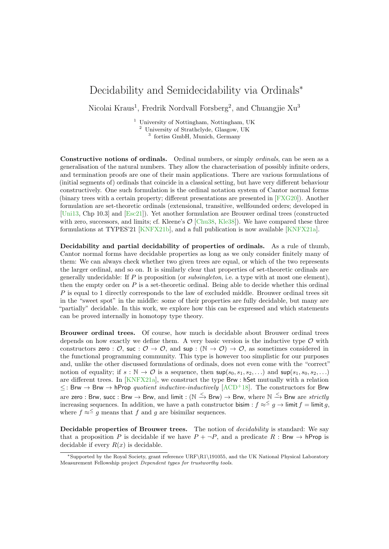## Decidability and Semidecidability via Ordinals<sup>∗</sup>

Nicolai Kraus<sup>1</sup>, Fredrik Nordvall Forsberg<sup>2</sup>, and Chuangjie Xu<sup>3</sup>

<sup>1</sup> University of Nottingham, Nottingham, UK <sup>2</sup> University of Strathclyde, Glasgow, UK

3 fortiss GmbH, Munich, Germany

Constructive notions of ordinals. Ordinal numbers, or simply *ordinals*, can be seen as a generalisation of the natural numbers. They allow the characterisation of possibly infinite orders, and termination proofs are one of their main applications. There are various formulations of (initial segments of) ordinals that coincide in a classical setting, but have very different behaviour constructively. One such formulation is the ordinal notation system of Cantor normal forms (binary trees with a certain property; different presentations are presented in [\[FXG20\]](#page-2-0)). Another formulation are set-theoretic ordinals (extensional, transitive, wellfounded orders; developed in [\[Uni13,](#page-2-1) Chp 10.3] and [\[Esc21\]](#page-2-2)). Yet another formulation are Brouwer ordinal trees (constructed with zero, successors, and limits; cf. Kleene's  $\mathcal{O}$  [\[Chu38,](#page-2-3) [Kle38\]](#page-2-4)). We have compared these three formulations at TYPES'21 [\[KNFX21b\]](#page-2-5), and a full publication is now available [\[KNFX21a\]](#page-2-6).

Decidability and partial decidability of properties of ordinals. As a rule of thumb, Cantor normal forms have decidable properties as long as we only consider finitely many of them: We can always check whether two given trees are equal, or which of the two represents the larger ordinal, and so on. It is similarly clear that properties of set-theoretic ordinals are generally undecidable: If P is proposition (or *subsingleton*, i.e. a type with at most one element), then the empty order on  $P$  is a set-theoretic ordinal. Being able to decide whether this ordinal  $P$  is equal to 1 directly corresponds to the law of excluded middle. Brouwer ordinal trees sit in the "sweet spot" in the middle: some of their properties are fully decidable, but many are "partially" decidable. In this work, we explore how this can be expressed and which statements can be proved internally in homotopy type theory.

Brouwer ordinal trees. Of course, how much is decidable about Brouwer ordinal trees depends on how exactly we define them. A very basic version is the inductive type  $\mathcal O$  with constructors zero :  $\mathcal{O}$ , suc :  $\mathcal{O} \to \mathcal{O}$ , and sup :  $(\mathbb{N} \to \mathcal{O}) \to \mathcal{O}$ , as sometimes considered in the functional programming community. This type is however too simplistic for our purposes and, unlike the other discussed formulations of ordinals, does not even come with the "correct" notion of equality; if  $s : \mathbb{N} \to \mathcal{O}$  is a sequence, then  $\sup(s_0, s_1, s_2, \ldots)$  and  $\sup(s_1, s_0, s_2, \ldots)$ are different trees. In [\[KNFX21a\]](#page-2-6), we construct the type Brw : hSet mutually with a relation  $\leq$ : Brw  $\rightarrow$  Brw  $\rightarrow$  hProp quotient inductive-inductively [\[ACD](#page-2-7)<sup>+</sup>18]. The constructors for Brw are zero : Brw, succ : Brw  $\to$  Brw, and limit : (N  $\xrightarrow{\,<}$  Brw)  $\to$  Brw, where N  $\xrightarrow{\,<}$  Brw are  $strictly$ increasing sequences. In addition, we have a path constructor bisim :  $f \approx^{\leq} g \rightarrow$  limit  $f =$  limit g, where  $f \approx \frac{5}{9}$  means that f and g are bisimilar sequences.

Decidable properties of Brouwer trees. The notion of *decidability* is standard: We say that a proposition P is decidable if we have  $P + \neg P$ , and a predicate R : Brw  $\rightarrow$  hProp is decidable if every  $R(x)$  is decidable.

<sup>∗</sup>Supported by the Royal Society, grant reference URF\R1\191055, and the UK National Physical Laboratory Measurement Fellowship project Dependent types for trustworthy tools.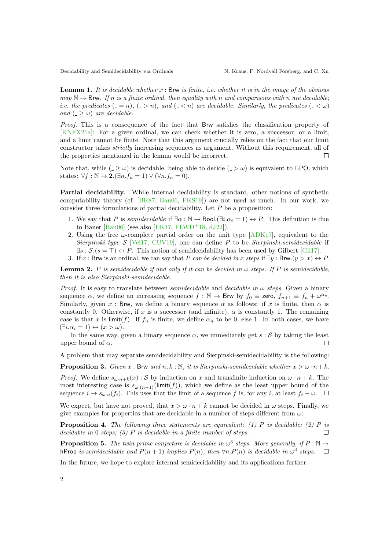Decidability and Semidecidability via Ordinals N. Kraus, F. Nordvall Forsberg, and C. Xu

**Lemma 1.** It is decidable whether  $x$ : Brw is finite, i.e. whether it is in the image of the obvious  $map \ N \rightarrow$  Brw. If n is a finite ordinal, then equality with n and comparisons with n are decidable; *i.e. the predicates*  $(0, -n)$ ,  $(0, -n)$ , and  $(0, -n)$  are decidable. Similarly, the predicates  $(0, -\infty)$ and  $($   $>$   $\omega$ ) are decidable.

Proof. This is a consequence of the fact that Brw satisfies the classification property of [\[KNFX21a\]](#page-2-6): For a given ordinal, we can check whether it is zero, a successor, or a limit, and a limit cannot be finite. Note that this argument crucially relies on the fact that our limit constructor takes strictly increasing sequences as argument. Without this requirement, all of the properties mentioned in the lemma would be incorrect.

Note that, while  $($ - $\geq \omega)$  is decidable, being able to decide  $($ - $> \omega)$  is equivalent to LPO, which states:  $\forall f : \mathbb{N} \to \mathbf{2}.(\exists n.f_n = 1) \vee (\forall n.f_n = 0).$ 

Partial decidability. While internal decidability is standard, other notions of synthetic computability theory (cf. [\[BR87,](#page-2-8) [Bau06,](#page-2-9) [FKS19\]](#page-2-10)) are not used as much. In our work, we consider three formulations of partial decidability. Let P be a proposition:

- 1. We say that P is *semidecidable* if  $\exists \alpha : \mathbb{N} \to \text{Bool}$ .  $(\exists i. \alpha_i = 1) \leftrightarrow P$ . This definition is due to Bauer [\[Bau06\]](#page-2-9) (see also [\[EK17,](#page-2-11) [FLWD](#page-2-12)<sup>+</sup>18, [dJ22\]](#page-2-13)).
- 2. Using the free  $\omega$ -complete partial order on the unit type [\[ADK17\]](#page-2-14), equivalent to the Sierpinski type  $S$  [\[Vel17,](#page-2-15) [CUV19\]](#page-2-16), one can define P to be Sierpinski-semidecidable if  $\exists s : \mathcal{S}.(s = \top) \leftrightarrow P$ . This notion of semidecidability has been used by Gilbert [\[Gil17\]](#page-2-17).
- 3. If x : Brw is an ordinal, we can say that P can be decided in x steps if  $\exists y : Brw.(y > x) \leftrightarrow P$ .

**Lemma 2.** P is semidecidable if and only if it can be decided in  $\omega$  steps. If P is semidecidable, then it is also Sierpinski-semidecidable.

*Proof.* It is easy to translate between *semidecidable* and *decidable in*  $\omega$  *steps*. Given a binary sequence  $\alpha$ , we define an increasing sequence  $f : \mathbb{N} \to \mathsf{Brw}$  by  $f_0 \equiv \mathsf{zero}, f_{n+1} \equiv f_n + \omega^{\alpha_n}$ . Similarly, given x: Brw, we define a binary sequence  $\alpha$  as follows: if x is finite, then  $\alpha$  is constantly 0. Otherwise, if x is a successor (and infinite),  $\alpha$  is constantly 1. The remaining case is that x is limit(f). If  $f_n$  is finite, we define  $\alpha_n$  to be 0, else 1. In both cases, we have  $(\exists i \cdot \alpha_i = 1) \leftrightarrow (x > \omega).$ 

In the same way, given a binary sequence  $\alpha$ , we immediately get s: S by taking the least upper bound of  $\alpha$ .  $\Box$ 

A problem that may separate semidecidability and Sierpinski-semidecidability is the following:

**Proposition 3.** Given x : Brw and n, k : N, it is Sierpinski-semidecidable whether  $x > \omega \cdot n + k$ .

*Proof.* We define  $s_{\omega \cdot n+k}(x)$ : S by induction on x and transfinite induction on  $\omega \cdot n+k$ . The most interesting case is  $s_{\omega \cdot (n+1)}(\text{limit}(f))$ , which we define as the least upper bound of the sequence  $i \mapsto s_{\omega \cdot n}(f_i)$ . This uses that the limit of a sequence f is, for any i, at least  $f_i + \omega$ .  $\Box$ 

We expect, but have not proved, that  $x > \omega \cdot n + k$  cannot be decided in  $\omega$  steps. Finally, we give examples for properties that are decidable in a number of steps different from  $\omega$ :

**Proposition 4.** The following three statements are equivalent: (1) P is decidable; (2) P is decidable in 0 steps; (3)  $P$  is decidable in a finite number of steps.  $\Box$ 

**Proposition 5.** The twin prime conjecture is decidable in  $\omega^3$  steps. More generally, if  $P : \mathbb{N} \to$ hProp is semidecidable and  $P(n + 1)$  implies  $P(n)$ , then  $\forall n.P(n)$  is decidable in  $\omega^3$  steps.

In the future, we hope to explore internal semidecidability and its applications further.